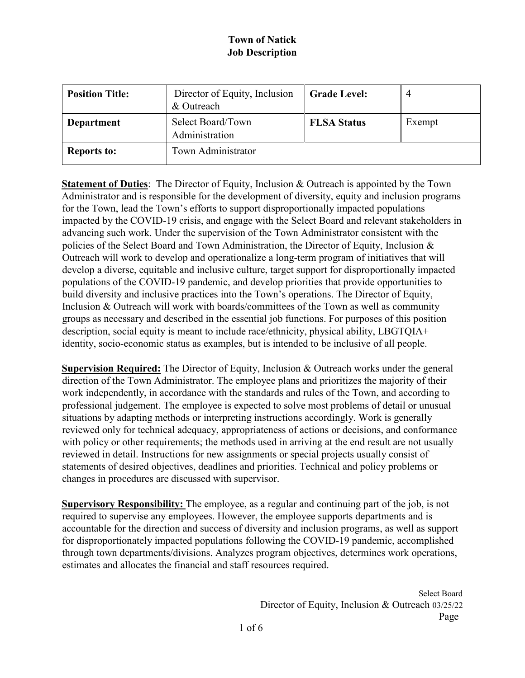| <b>Position Title:</b> | Director of Equity, Inclusion<br>& Outreach | <b>Grade Level:</b> | 4      |
|------------------------|---------------------------------------------|---------------------|--------|
| <b>Department</b>      | Select Board/Town<br>Administration         | <b>FLSA Status</b>  | Exempt |
| <b>Reports to:</b>     | Town Administrator                          |                     |        |

**Statement of Duties**: The Director of Equity, Inclusion & Outreach is appointed by the Town Administrator and is responsible for the development of diversity, equity and inclusion programs for the Town, lead the Town's efforts to support disproportionally impacted populations impacted by the COVID-19 crisis, and engage with the Select Board and relevant stakeholders in advancing such work. Under the supervision of the Town Administrator consistent with the policies of the Select Board and Town Administration, the Director of Equity, Inclusion & Outreach will work to develop and operationalize a long-term program of initiatives that will develop a diverse, equitable and inclusive culture, target support for disproportionally impacted populations of the COVID-19 pandemic, and develop priorities that provide opportunities to build diversity and inclusive practices into the Town's operations. The Director of Equity, Inclusion & Outreach will work with boards/committees of the Town as well as community groups as necessary and described in the essential job functions. For purposes of this position description, social equity is meant to include race/ethnicity, physical ability, LBGTQIA+ identity, socio-economic status as examples, but is intended to be inclusive of all people.

**Supervision Required:** The Director of Equity, Inclusion & Outreach works under the general direction of the Town Administrator. The employee plans and prioritizes the majority of their work independently, in accordance with the standards and rules of the Town, and according to professional judgement. The employee is expected to solve most problems of detail or unusual situations by adapting methods or interpreting instructions accordingly. Work is generally reviewed only for technical adequacy, appropriateness of actions or decisions, and conformance with policy or other requirements; the methods used in arriving at the end result are not usually reviewed in detail. Instructions for new assignments or special projects usually consist of statements of desired objectives, deadlines and priorities. Technical and policy problems or changes in procedures are discussed with supervisor.

**Supervisory Responsibility:** The employee, as a regular and continuing part of the job, is not required to supervise any employees. However, the employee supports departments and is accountable for the direction and success of diversity and inclusion programs, as well as support for disproportionately impacted populations following the COVID-19 pandemic, accomplished through town departments/divisions. Analyzes program objectives, determines work operations, estimates and allocates the financial and staff resources required.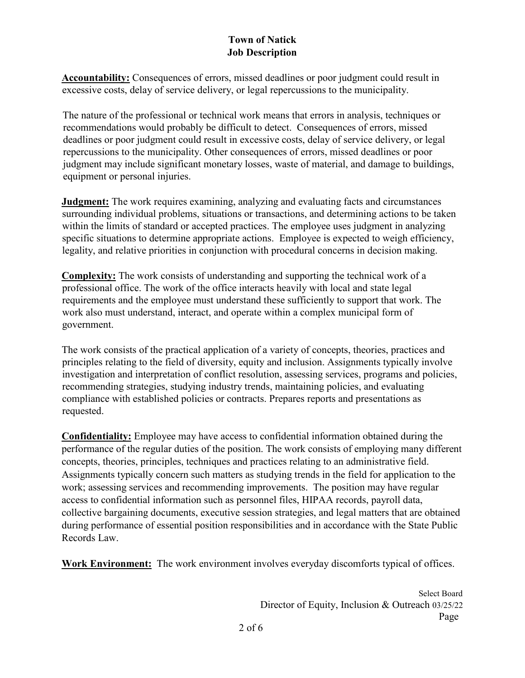**Accountability:** Consequences of errors, missed deadlines or poor judgment could result in excessive costs, delay of service delivery, or legal repercussions to the municipality.

The nature of the professional or technical work means that errors in analysis, techniques or recommendations would probably be difficult to detect. Consequences of errors, missed deadlines or poor judgment could result in excessive costs, delay of service delivery, or legal repercussions to the municipality. Other consequences of errors, missed deadlines or poor judgment may include significant monetary losses, waste of material, and damage to buildings, equipment or personal injuries.

**Judgment:** The work requires examining, analyzing and evaluating facts and circumstances surrounding individual problems, situations or transactions, and determining actions to be taken within the limits of standard or accepted practices. The employee uses judgment in analyzing specific situations to determine appropriate actions. Employee is expected to weigh efficiency, legality, and relative priorities in conjunction with procedural concerns in decision making.

**Complexity:** The work consists of understanding and supporting the technical work of a professional office. The work of the office interacts heavily with local and state legal requirements and the employee must understand these sufficiently to support that work. The work also must understand, interact, and operate within a complex municipal form of government.

The work consists of the practical application of a variety of concepts, theories, practices and principles relating to the field of diversity, equity and inclusion. Assignments typically involve investigation and interpretation of conflict resolution, assessing services, programs and policies, recommending strategies, studying industry trends, maintaining policies, and evaluating compliance with established policies or contracts. Prepares reports and presentations as requested.

**Confidentiality:** Employee may have access to confidential information obtained during the performance of the regular duties of the position. The work consists of employing many different concepts, theories, principles, techniques and practices relating to an administrative field. Assignments typically concern such matters as studying trends in the field for application to the work; assessing services and recommending improvements. The position may have regular access to confidential information such as personnel files, HIPAA records, payroll data, collective bargaining documents, executive session strategies, and legal matters that are obtained during performance of essential position responsibilities and in accordance with the State Public Records Law.

**Work Environment:** The work environment involves everyday discomforts typical of offices.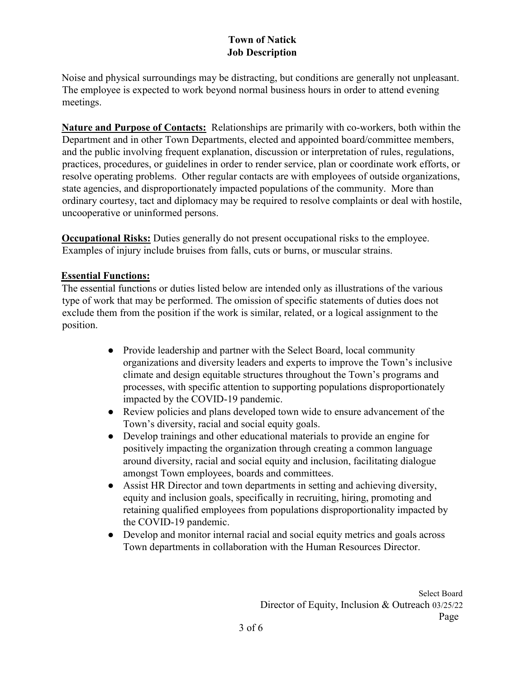Noise and physical surroundings may be distracting, but conditions are generally not unpleasant. The employee is expected to work beyond normal business hours in order to attend evening meetings.

**Nature and Purpose of Contacts:** Relationships are primarily with co-workers, both within the Department and in other Town Departments, elected and appointed board/committee members, and the public involving frequent explanation, discussion or interpretation of rules, regulations, practices, procedures, or guidelines in order to render service, plan or coordinate work efforts, or resolve operating problems. Other regular contacts are with employees of outside organizations, state agencies, and disproportionately impacted populations of the community. More than ordinary courtesy, tact and diplomacy may be required to resolve complaints or deal with hostile, uncooperative or uninformed persons.

**Occupational Risks:** Duties generally do not present occupational risks to the employee. Examples of injury include bruises from falls, cuts or burns, or muscular strains.

#### **Essential Functions:**

The essential functions or duties listed below are intended only as illustrations of the various type of work that may be performed. The omission of specific statements of duties does not exclude them from the position if the work is similar, related, or a logical assignment to the position.

- Provide leadership and partner with the Select Board, local community organizations and diversity leaders and experts to improve the Town's inclusive climate and design equitable structures throughout the Town's programs and processes, with specific attention to supporting populations disproportionately impacted by the COVID-19 pandemic.
- Review policies and plans developed town wide to ensure advancement of the Town's diversity, racial and social equity goals.
- Develop trainings and other educational materials to provide an engine for positively impacting the organization through creating a common language around diversity, racial and social equity and inclusion, facilitating dialogue amongst Town employees, boards and committees.
- Assist HR Director and town departments in setting and achieving diversity, equity and inclusion goals, specifically in recruiting, hiring, promoting and retaining qualified employees from populations disproportionality impacted by the COVID-19 pandemic.
- Develop and monitor internal racial and social equity metrics and goals across Town departments in collaboration with the Human Resources Director.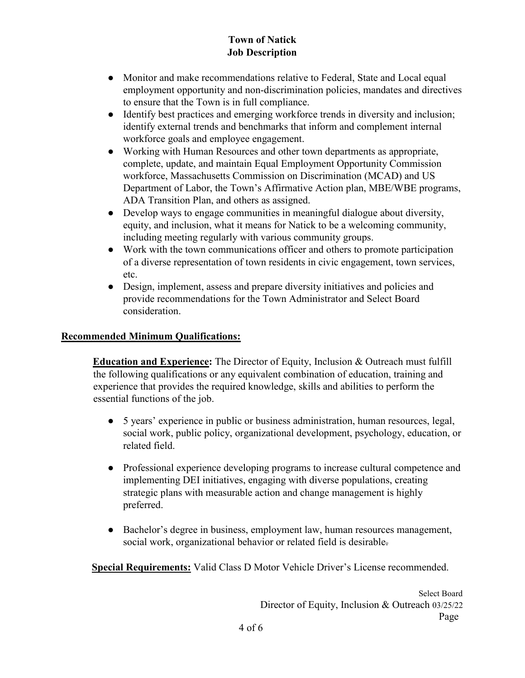- Monitor and make recommendations relative to Federal, State and Local equal employment opportunity and non-discrimination policies, mandates and directives to ensure that the Town is in full compliance.
- Identify best practices and emerging workforce trends in diversity and inclusion; identify external trends and benchmarks that inform and complement internal workforce goals and employee engagement.
- Working with Human Resources and other town departments as appropriate, complete, update, and maintain Equal Employment Opportunity Commission workforce, Massachusetts Commission on Discrimination (MCAD) and US Department of Labor, the Town's Affirmative Action plan, MBE/WBE programs, ADA Transition Plan, and others as assigned.
- Develop ways to engage communities in meaningful dialogue about diversity, equity, and inclusion, what it means for Natick to be a welcoming community, including meeting regularly with various community groups.
- Work with the town communications officer and others to promote participation of a diverse representation of town residents in civic engagement, town services, etc.
- Design, implement, assess and prepare diversity initiatives and policies and provide recommendations for the Town Administrator and Select Board consideration.

## **Recommended Minimum Qualifications:**

**Education and Experience:** The Director of Equity, Inclusion & Outreach must fulfill the following qualifications or any equivalent combination of education, training and experience that provides the required knowledge, skills and abilities to perform the essential functions of the job.

- 5 years' experience in public or business administration, human resources, legal, social work, public policy, organizational development, psychology, education, or related field.
- Professional experience developing programs to increase cultural competence and implementing DEI initiatives, engaging with diverse populations, creating strategic plans with measurable action and change management is highly preferred.
- Bachelor's degree in business, employment law, human resources management, social work, organizational behavior or related field is desirable.

**Special Requirements:** Valid Class D Motor Vehicle Driver's License recommended.

Select Board Director of Equity, Inclusion & Outreach 03/25/22 Page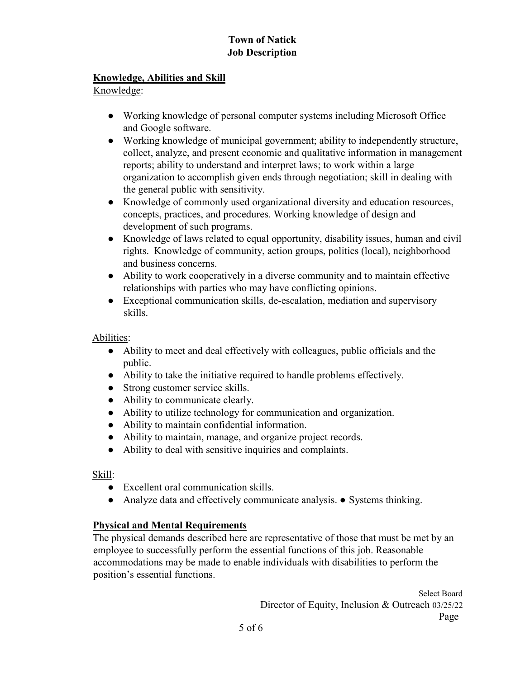#### **Knowledge, Abilities and Skill**

Knowledge:

- Working knowledge of personal computer systems including Microsoft Office and Google software.
- Working knowledge of municipal government; ability to independently structure, collect, analyze, and present economic and qualitative information in management reports; ability to understand and interpret laws; to work within a large organization to accomplish given ends through negotiation; skill in dealing with the general public with sensitivity.
- Knowledge of commonly used organizational diversity and education resources, concepts, practices, and procedures. Working knowledge of design and development of such programs.
- Knowledge of laws related to equal opportunity, disability issues, human and civil rights. Knowledge of community, action groups, politics (local), neighborhood and business concerns.
- Ability to work cooperatively in a diverse community and to maintain effective relationships with parties who may have conflicting opinions.
- Exceptional communication skills, de-escalation, mediation and supervisory skills.

Abilities:

- Ability to meet and deal effectively with colleagues, public officials and the public.
- Ability to take the initiative required to handle problems effectively.
- Strong customer service skills.
- Ability to communicate clearly.
- Ability to utilize technology for communication and organization.
- Ability to maintain confidential information.
- Ability to maintain, manage, and organize project records.
- Ability to deal with sensitive inquiries and complaints.

Skill:

- Excellent oral communication skills.
- Analyze data and effectively communicate analysis. Systems thinking.

#### **Physical and Mental Requirements**

The physical demands described here are representative of those that must be met by an employee to successfully perform the essential functions of this job. Reasonable accommodations may be made to enable individuals with disabilities to perform the position's essential functions.

> Select Board Director of Equity, Inclusion & Outreach 03/25/22 Page